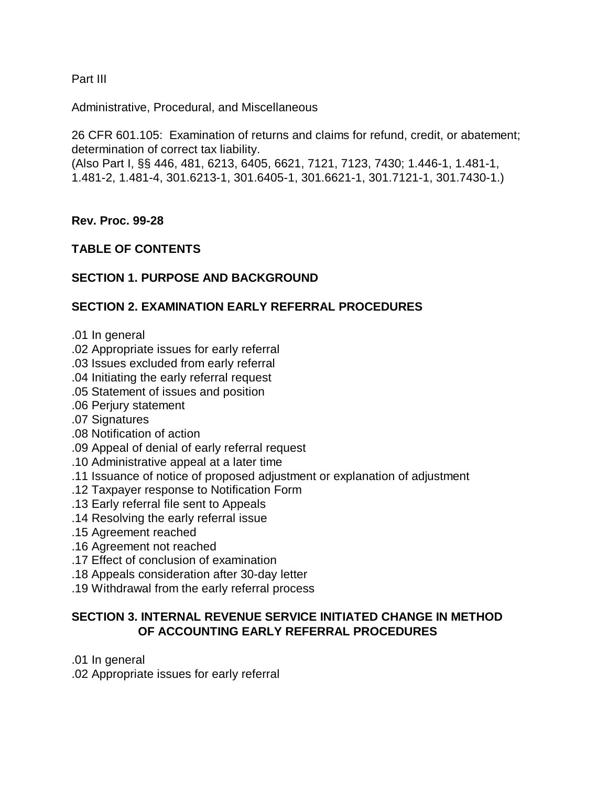Part III

Administrative, Procedural, and Miscellaneous

26 CFR 601.105: Examination of returns and claims for refund, credit, or abatement; determination of correct tax liability.

(Also Part I, §§ 446, 481, 6213, 6405, 6621, 7121, 7123, 7430; 1.446-1, 1.481-1, 1.481-2, 1.481-4, 301.6213-1, 301.6405-1, 301.6621-1, 301.7121-1, 301.7430-1.)

**Rev. Proc. 99-28**

# **TABLE OF CONTENTS**

# **SECTION 1. PURPOSE AND BACKGROUND**

# **SECTION 2. EXAMINATION EARLY REFERRAL PROCEDURES**

- .01 In general
- .02 Appropriate issues for early referral
- .03 Issues excluded from early referral
- .04 Initiating the early referral request
- .05 Statement of issues and position
- .06 Perjury statement
- .07 Signatures
- .08 Notification of action
- .09 Appeal of denial of early referral request
- .10 Administrative appeal at a later time
- .11 Issuance of notice of proposed adjustment or explanation of adjustment
- .12 Taxpayer response to Notification Form
- .13 Early referral file sent to Appeals
- .14 Resolving the early referral issue
- .15 Agreement reached
- .16 Agreement not reached
- .17 Effect of conclusion of examination
- .18 Appeals consideration after 30-day letter
- .19 Withdrawal from the early referral process

# **SECTION 3. INTERNAL REVENUE SERVICE INITIATED CHANGE IN METHOD OF ACCOUNTING EARLY REFERRAL PROCEDURES**

.01 In general

.02 Appropriate issues for early referral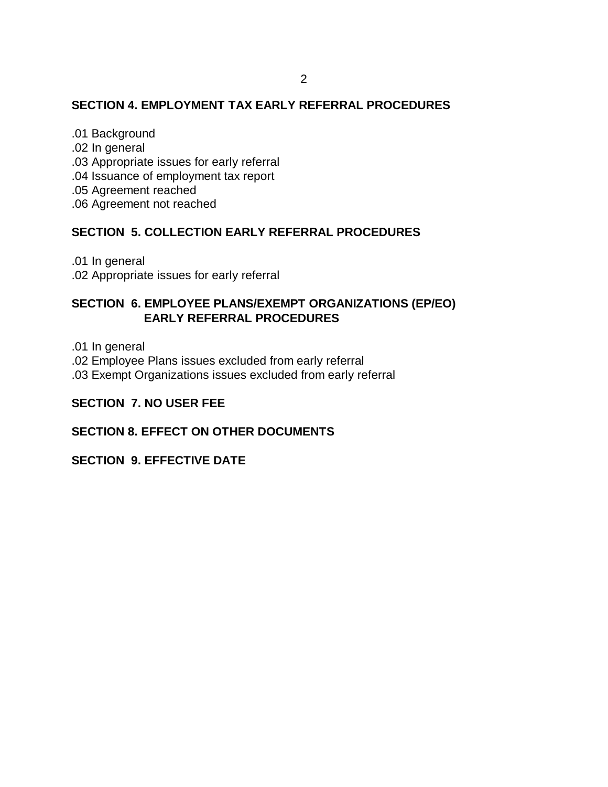### **SECTION 4. EMPLOYMENT TAX EARLY REFERRAL PROCEDURES**

.01 Background .02 In general .03 Appropriate issues for early referral .04 Issuance of employment tax report .05 Agreement reached .06 Agreement not reached

## **SECTION 5. COLLECTION EARLY REFERRAL PROCEDURES**

.01 In general

.02 Appropriate issues for early referral

## **SECTION 6. EMPLOYEE PLANS/EXEMPT ORGANIZATIONS (EP/EO) EARLY REFERRAL PROCEDURES**

.01 In general

.02 Employee Plans issues excluded from early referral

.03 Exempt Organizations issues excluded from early referral

### **SECTION 7. NO USER FEE**

## **SECTION 8. EFFECT ON OTHER DOCUMENTS**

#### **SECTION 9. EFFECTIVE DATE**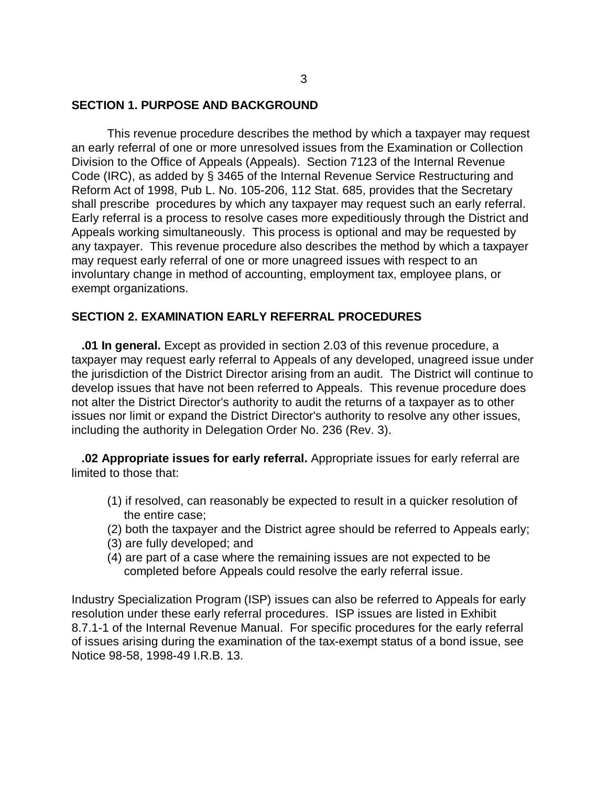#### **SECTION 1. PURPOSE AND BACKGROUND**

This revenue procedure describes the method by which a taxpayer may request an early referral of one or more unresolved issues from the Examination or Collection Division to the Office of Appeals (Appeals). Section 7123 of the Internal Revenue Code (IRC), as added by § 3465 of the Internal Revenue Service Restructuring and Reform Act of 1998, Pub L. No. 105-206, 112 Stat. 685, provides that the Secretary shall prescribe procedures by which any taxpayer may request such an early referral. Early referral is a process to resolve cases more expeditiously through the District and Appeals working simultaneously. This process is optional and may be requested by any taxpayer. This revenue procedure also describes the method by which a taxpayer may request early referral of one or more unagreed issues with respect to an involuntary change in method of accounting, employment tax, employee plans, or exempt organizations.

#### **SECTION 2. EXAMINATION EARLY REFERRAL PROCEDURES**

 **.01 In general.** Except as provided in section 2.03 of this revenue procedure, a taxpayer may request early referral to Appeals of any developed, unagreed issue under the jurisdiction of the District Director arising from an audit. The District will continue to develop issues that have not been referred to Appeals. This revenue procedure does not alter the District Director's authority to audit the returns of a taxpayer as to other issues nor limit or expand the District Director's authority to resolve any other issues, including the authority in Delegation Order No. 236 (Rev. 3).

 **.02 Appropriate issues for early referral.** Appropriate issues for early referral are limited to those that:

- (1) if resolved, can reasonably be expected to result in a quicker resolution of the entire case;
- (2) both the taxpayer and the District agree should be referred to Appeals early;
- (3) are fully developed; and
- (4) are part of a case where the remaining issues are not expected to be completed before Appeals could resolve the early referral issue.

Industry Specialization Program (ISP) issues can also be referred to Appeals for early resolution under these early referral procedures. ISP issues are listed in Exhibit 8.7.1-1 of the Internal Revenue Manual. For specific procedures for the early referral of issues arising during the examination of the tax-exempt status of a bond issue, see Notice 98-58, 1998-49 I.R.B. 13.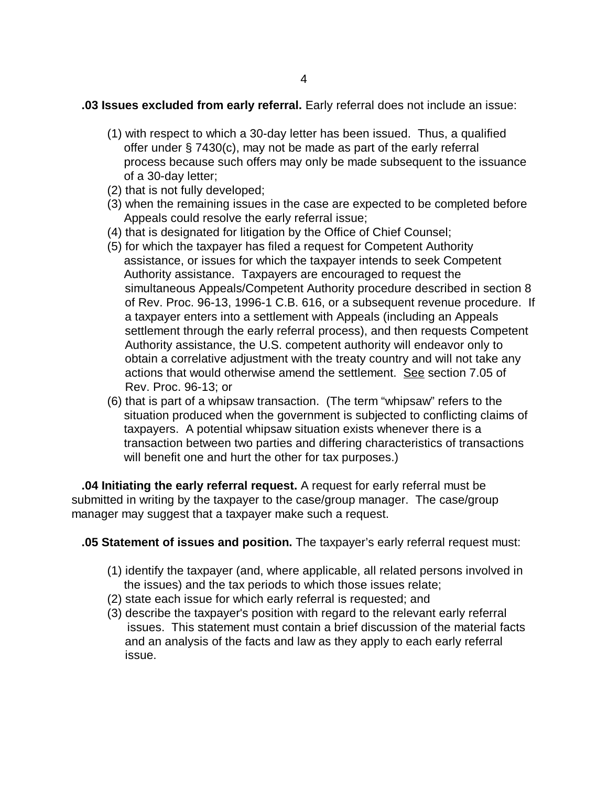#### **.03 Issues excluded from early referral.** Early referral does not include an issue:

- (1) with respect to which a 30-day letter has been issued. Thus, a qualified offer under § 7430(c), may not be made as part of the early referral process because such offers may only be made subsequent to the issuance of a 30-day letter;
- (2) that is not fully developed;
- (3) when the remaining issues in the case are expected to be completed before Appeals could resolve the early referral issue;
- (4) that is designated for litigation by the Office of Chief Counsel;
- (5) for which the taxpayer has filed a request for Competent Authority assistance, or issues for which the taxpayer intends to seek Competent Authority assistance. Taxpayers are encouraged to request the simultaneous Appeals/Competent Authority procedure described in section 8 of Rev. Proc. 96-13, 1996-1 C.B. 616, or a subsequent revenue procedure. If a taxpayer enters into a settlement with Appeals (including an Appeals settlement through the early referral process), and then requests Competent Authority assistance, the U.S. competent authority will endeavor only to obtain a correlative adjustment with the treaty country and will not take any actions that would otherwise amend the settlement. See section 7.05 of Rev. Proc. 96-13; or
- (6) that is part of a whipsaw transaction. (The term "whipsaw" refers to the situation produced when the government is subjected to conflicting claims of taxpayers. A potential whipsaw situation exists whenever there is a transaction between two parties and differing characteristics of transactions will benefit one and hurt the other for tax purposes.)

 **.04 Initiating the early referral request.** A request for early referral must be submitted in writing by the taxpayer to the case/group manager. The case/group manager may suggest that a taxpayer make such a request.

**.05 Statement of issues and position.** The taxpayer's early referral request must:

- (1) identify the taxpayer (and, where applicable, all related persons involved in the issues) and the tax periods to which those issues relate;
- (2) state each issue for which early referral is requested; and
- (3) describe the taxpayer's position with regard to the relevant early referral issues. This statement must contain a brief discussion of the material facts and an analysis of the facts and law as they apply to each early referral issue.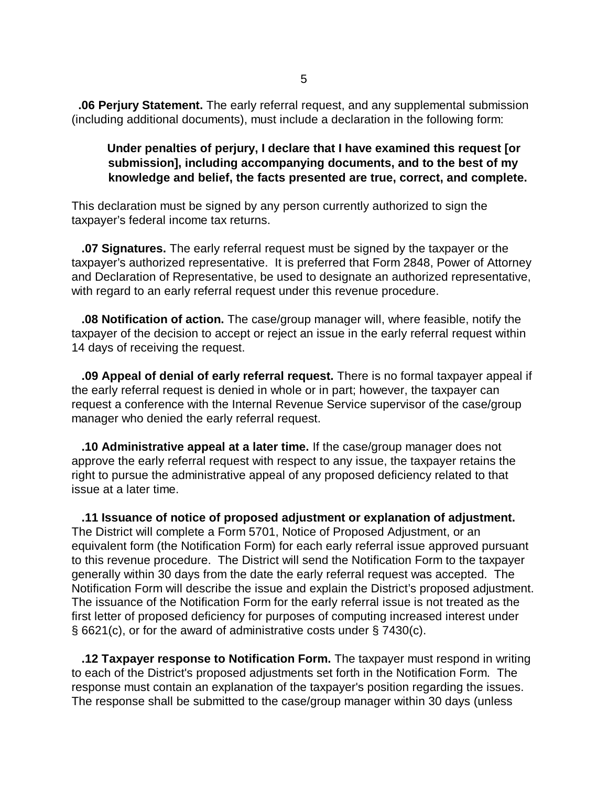**.06 Perjury Statement.** The early referral request, and any supplemental submission (including additional documents), must include a declaration in the following form:

# **Under penalties of perjury, I declare that I have examined this request [or submission], including accompanying documents, and to the best of my knowledge and belief, the facts presented are true, correct, and complete.**

This declaration must be signed by any person currently authorized to sign the taxpayer's federal income tax returns.

 **.07 Signatures.** The early referral request must be signed by the taxpayer or the taxpayer's authorized representative. It is preferred that Form 2848, Power of Attorney and Declaration of Representative, be used to designate an authorized representative, with regard to an early referral request under this revenue procedure.

 **.08 Notification of action.** The case/group manager will, where feasible, notify the taxpayer of the decision to accept or reject an issue in the early referral request within 14 days of receiving the request.

 **.09 Appeal of denial of early referral request.** There is no formal taxpayer appeal if the early referral request is denied in whole or in part; however, the taxpayer can request a conference with the Internal Revenue Service supervisor of the case/group manager who denied the early referral request.

 **.10 Administrative appeal at a later time.** If the case/group manager does not approve the early referral request with respect to any issue, the taxpayer retains the right to pursue the administrative appeal of any proposed deficiency related to that issue at a later time.

 **.11 Issuance of notice of proposed adjustment or explanation of adjustment.** The District will complete a Form 5701, Notice of Proposed Adjustment, or an equivalent form (the Notification Form) for each early referral issue approved pursuant to this revenue procedure. The District will send the Notification Form to the taxpayer generally within 30 days from the date the early referral request was accepted. The Notification Form will describe the issue and explain the District's proposed adjustment. The issuance of the Notification Form for the early referral issue is not treated as the first letter of proposed deficiency for purposes of computing increased interest under § 6621(c), or for the award of administrative costs under § 7430(c).

 **.12 Taxpayer response to Notification Form.** The taxpayer must respond in writing to each of the District's proposed adjustments set forth in the Notification Form. The response must contain an explanation of the taxpayer's position regarding the issues. The response shall be submitted to the case/group manager within 30 days (unless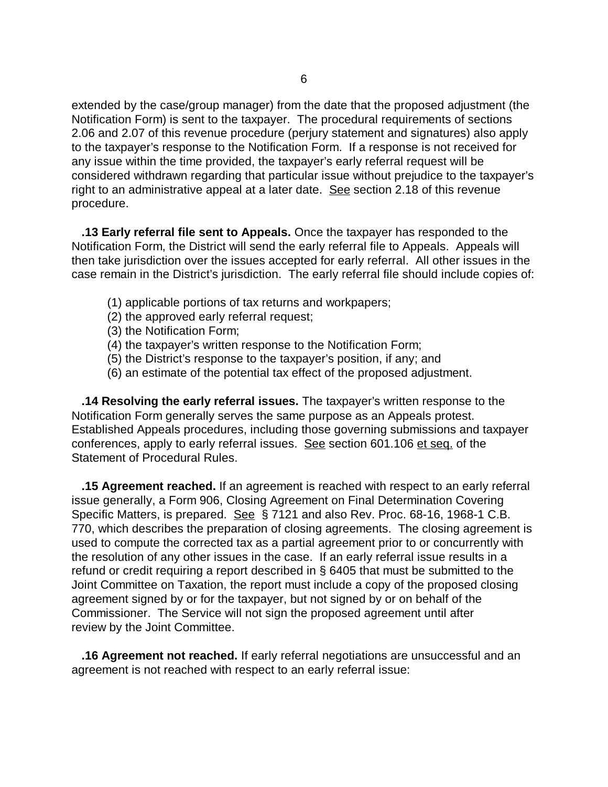extended by the case/group manager) from the date that the proposed adjustment (the Notification Form) is sent to the taxpayer. The procedural requirements of sections 2.06 and 2.07 of this revenue procedure (perjury statement and signatures) also apply to the taxpayer's response to the Notification Form. If a response is not received for any issue within the time provided, the taxpayer's early referral request will be considered withdrawn regarding that particular issue without prejudice to the taxpayer's right to an administrative appeal at a later date. See section 2.18 of this revenue procedure.

 **.13 Early referral file sent to Appeals.** Once the taxpayer has responded to the Notification Form, the District will send the early referral file to Appeals. Appeals will then take jurisdiction over the issues accepted for early referral. All other issues in the case remain in the District's jurisdiction. The early referral file should include copies of:

- (1) applicable portions of tax returns and workpapers;
- (2) the approved early referral request;
- (3) the Notification Form;
- (4) the taxpayer's written response to the Notification Form;
- (5) the District's response to the taxpayer's position, if any; and
- (6) an estimate of the potential tax effect of the proposed adjustment.

 **.14 Resolving the early referral issues.** The taxpayer's written response to the Notification Form generally serves the same purpose as an Appeals protest. Established Appeals procedures, including those governing submissions and taxpayer conferences, apply to early referral issues. See section 601.106 et seq. of the Statement of Procedural Rules.

 **.15 Agreement reached.** If an agreement is reached with respect to an early referral issue generally, a Form 906, Closing Agreement on Final Determination Covering Specific Matters, is prepared. See § 7121 and also Rev. Proc. 68-16, 1968-1 C.B. 770, which describes the preparation of closing agreements. The closing agreement is used to compute the corrected tax as a partial agreement prior to or concurrently with the resolution of any other issues in the case. If an early referral issue results in a refund or credit requiring a report described in § 6405 that must be submitted to the Joint Committee on Taxation, the report must include a copy of the proposed closing agreement signed by or for the taxpayer, but not signed by or on behalf of the Commissioner. The Service will not sign the proposed agreement until after review by the Joint Committee.

 **.16 Agreement not reached.** If early referral negotiations are unsuccessful and an agreement is not reached with respect to an early referral issue: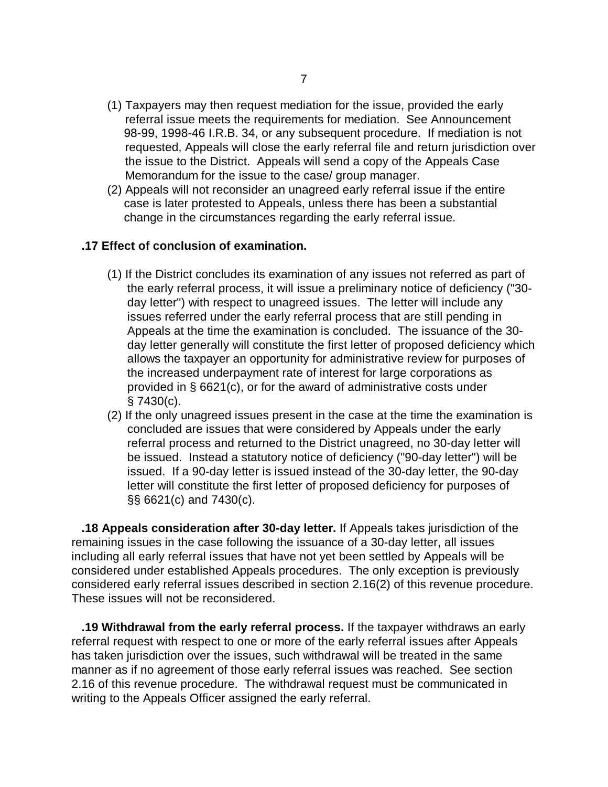- (1) Taxpayers may then request mediation for the issue, provided the early referral issue meets the requirements for mediation. See Announcement 98-99, 1998-46 I.R.B. 34, or any subsequent procedure. If mediation is not requested, Appeals will close the early referral file and return jurisdiction over the issue to the District. Appeals will send a copy of the Appeals Case Memorandum for the issue to the case/ group manager.
- (2) Appeals will not reconsider an unagreed early referral issue if the entire case is later protested to Appeals, unless there has been a substantial change in the circumstances regarding the early referral issue.

### **.17 Effect of conclusion of examination.**

- (1) If the District concludes its examination of any issues not referred as part of the early referral process, it will issue a preliminary notice of deficiency ("30 day letter") with respect to unagreed issues. The letter will include any issues referred under the early referral process that are still pending in Appeals at the time the examination is concluded. The issuance of the 30 day letter generally will constitute the first letter of proposed deficiency which allows the taxpayer an opportunity for administrative review for purposes of the increased underpayment rate of interest for large corporations as provided in § 6621(c), or for the award of administrative costs under § 7430(c).
- (2) If the only unagreed issues present in the case at the time the examination is concluded are issues that were considered by Appeals under the early referral process and returned to the District unagreed, no 30-day letter will be issued. Instead a statutory notice of deficiency ("90-day letter") will be issued. If a 90-day letter is issued instead of the 30-day letter, the 90-day letter will constitute the first letter of proposed deficiency for purposes of §§ 6621(c) and 7430(c).

 **.18 Appeals consideration after 30-day letter.** If Appeals takes jurisdiction of the remaining issues in the case following the issuance of a 30-day letter, all issues including all early referral issues that have not yet been settled by Appeals will be considered under established Appeals procedures. The only exception is previously considered early referral issues described in section 2.16(2) of this revenue procedure. These issues will not be reconsidered.

 **.19 Withdrawal from the early referral process.** If the taxpayer withdraws an early referral request with respect to one or more of the early referral issues after Appeals has taken jurisdiction over the issues, such withdrawal will be treated in the same manner as if no agreement of those early referral issues was reached. See section 2.16 of this revenue procedure. The withdrawal request must be communicated in writing to the Appeals Officer assigned the early referral.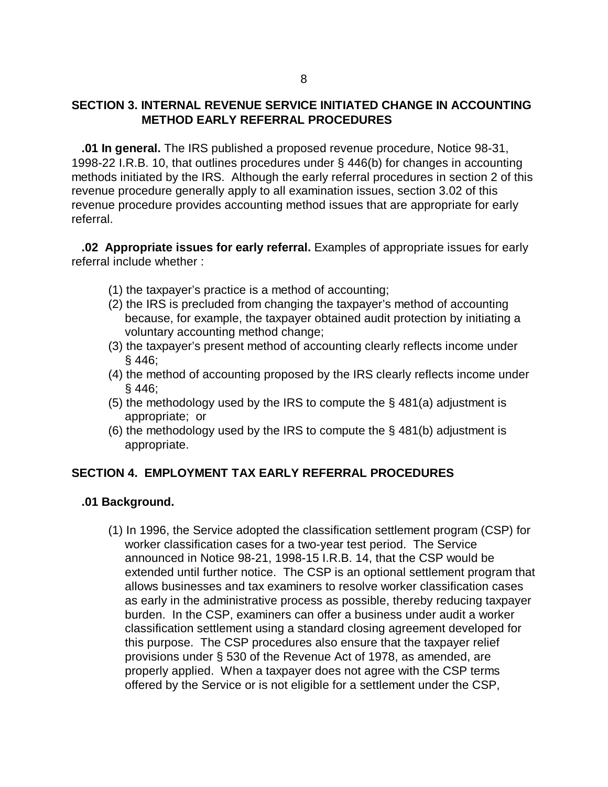## **SECTION 3. INTERNAL REVENUE SERVICE INITIATED CHANGE IN ACCOUNTING METHOD EARLY REFERRAL PROCEDURES**

 **.01 In general.** The IRS published a proposed revenue procedure, Notice 98-31, 1998-22 I.R.B. 10, that outlines procedures under § 446(b) for changes in accounting methods initiated by the IRS. Although the early referral procedures in section 2 of this revenue procedure generally apply to all examination issues, section 3.02 of this revenue procedure provides accounting method issues that are appropriate for early referral.

 **.02 Appropriate issues for early referral.** Examples of appropriate issues for early referral include whether :

- (1) the taxpayer's practice is a method of accounting;
- (2) the IRS is precluded from changing the taxpayer's method of accounting because, for example, the taxpayer obtained audit protection by initiating a voluntary accounting method change;
- (3) the taxpayer's present method of accounting clearly reflects income under § 446;
- (4) the method of accounting proposed by the IRS clearly reflects income under § 446;
- (5) the methodology used by the IRS to compute the § 481(a) adjustment is appropriate; or
- (6) the methodology used by the IRS to compute the § 481(b) adjustment is appropriate.

#### **SECTION 4. EMPLOYMENT TAX EARLY REFERRAL PROCEDURES**

#### **.01 Background.**

 (1) In 1996, the Service adopted the classification settlement program (CSP) for worker classification cases for a two-year test period. The Service announced in Notice 98-21, 1998-15 I.R.B. 14, that the CSP would be extended until further notice. The CSP is an optional settlement program that allows businesses and tax examiners to resolve worker classification cases as early in the administrative process as possible, thereby reducing taxpayer burden. In the CSP, examiners can offer a business under audit a worker classification settlement using a standard closing agreement developed for this purpose. The CSP procedures also ensure that the taxpayer relief provisions under § 530 of the Revenue Act of 1978, as amended, are properly applied. When a taxpayer does not agree with the CSP terms offered by the Service or is not eligible for a settlement under the CSP,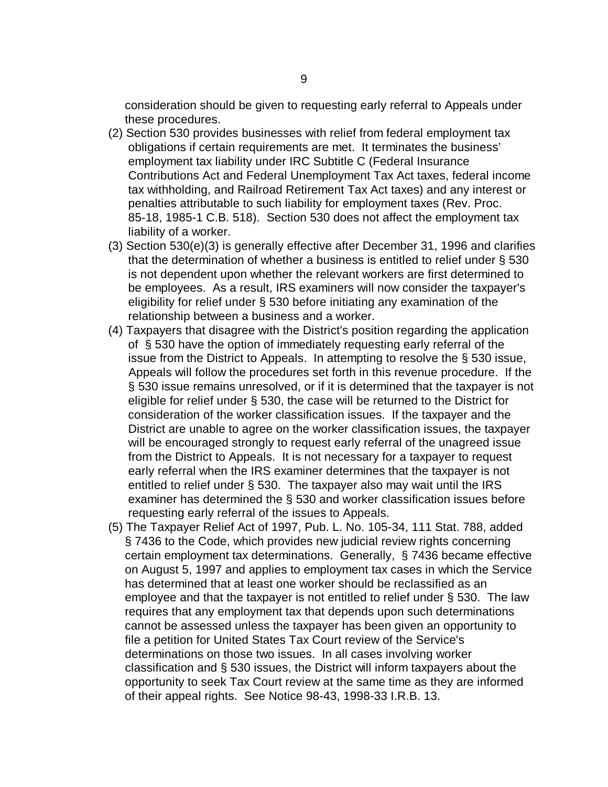consideration should be given to requesting early referral to Appeals under these procedures.

- (2) Section 530 provides businesses with relief from federal employment tax obligations if certain requirements are met. It terminates the business' employment tax liability under IRC Subtitle C (Federal Insurance Contributions Act and Federal Unemployment Tax Act taxes, federal income tax withholding, and Railroad Retirement Tax Act taxes) and any interest or penalties attributable to such liability for employment taxes (Rev. Proc. 85-18, 1985-1 C.B. 518). Section 530 does not affect the employment tax liability of a worker.
- (3) Section 530(e)(3) is generally effective after December 31, 1996 and clarifies that the determination of whether a business is entitled to relief under § 530 is not dependent upon whether the relevant workers are first determined to be employees. As a result, IRS examiners will now consider the taxpayer's eligibility for relief under § 530 before initiating any examination of the relationship between a business and a worker.
- (4) Taxpayers that disagree with the District's position regarding the application of § 530 have the option of immediately requesting early referral of the issue from the District to Appeals. In attempting to resolve the § 530 issue, Appeals will follow the procedures set forth in this revenue procedure. If the § 530 issue remains unresolved, or if it is determined that the taxpayer is not eligible for relief under § 530, the case will be returned to the District for consideration of the worker classification issues. If the taxpayer and the District are unable to agree on the worker classification issues, the taxpayer will be encouraged strongly to request early referral of the unagreed issue from the District to Appeals. It is not necessary for a taxpayer to request early referral when the IRS examiner determines that the taxpayer is not entitled to relief under § 530. The taxpayer also may wait until the IRS examiner has determined the § 530 and worker classification issues before requesting early referral of the issues to Appeals.
- (5) The Taxpayer Relief Act of 1997, Pub. L. No. 105-34, 111 Stat. 788, added § 7436 to the Code, which provides new judicial review rights concerning certain employment tax determinations. Generally, § 7436 became effective on August 5, 1997 and applies to employment tax cases in which the Service has determined that at least one worker should be reclassified as an employee and that the taxpayer is not entitled to relief under § 530. The law requires that any employment tax that depends upon such determinations cannot be assessed unless the taxpayer has been given an opportunity to file a petition for United States Tax Court review of the Service's determinations on those two issues. In all cases involving worker classification and § 530 issues, the District will inform taxpayers about the opportunity to seek Tax Court review at the same time as they are informed of their appeal rights. See Notice 98-43, 1998-33 I.R.B. 13.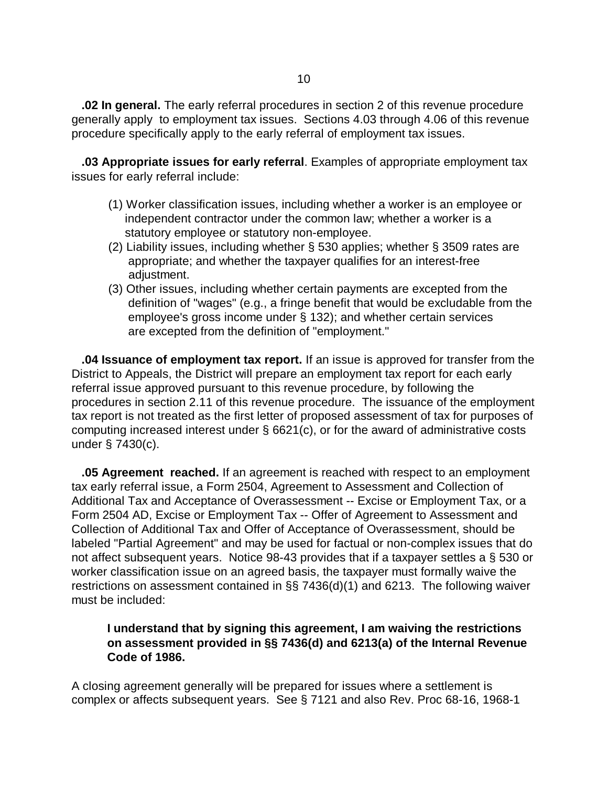**.02 In general.** The early referral procedures in section 2 of this revenue procedure generally apply to employment tax issues. Sections 4.03 through 4.06 of this revenue procedure specifically apply to the early referral of employment tax issues.

 **.03 Appropriate issues for early referral**. Examples of appropriate employment tax issues for early referral include:

- (1) Worker classification issues, including whether a worker is an employee or independent contractor under the common law; whether a worker is a statutory employee or statutory non-employee.
- (2) Liability issues, including whether § 530 applies; whether § 3509 rates are appropriate; and whether the taxpayer qualifies for an interest-free adjustment.
- (3) Other issues, including whether certain payments are excepted from the definition of "wages" (e.g., a fringe benefit that would be excludable from the employee's gross income under § 132); and whether certain services are excepted from the definition of "employment."

 **.04 Issuance of employment tax report.** If an issue is approved for transfer from the District to Appeals, the District will prepare an employment tax report for each early referral issue approved pursuant to this revenue procedure, by following the procedures in section 2.11 of this revenue procedure. The issuance of the employment tax report is not treated as the first letter of proposed assessment of tax for purposes of computing increased interest under § 6621(c), or for the award of administrative costs under § 7430(c).

 **.05 Agreement reached.** If an agreement is reached with respect to an employment tax early referral issue, a Form 2504, Agreement to Assessment and Collection of Additional Tax and Acceptance of Overassessment -- Excise or Employment Tax, or a Form 2504 AD, Excise or Employment Tax -- Offer of Agreement to Assessment and Collection of Additional Tax and Offer of Acceptance of Overassessment, should be labeled "Partial Agreement" and may be used for factual or non-complex issues that do not affect subsequent years. Notice 98-43 provides that if a taxpayer settles a § 530 or worker classification issue on an agreed basis, the taxpayer must formally waive the restrictions on assessment contained in §§ 7436(d)(1) and 6213. The following waiver must be included:

## **I understand that by signing this agreement, I am waiving the restrictions on assessment provided in §§ 7436(d) and 6213(a) of the Internal Revenue Code of 1986.**

A closing agreement generally will be prepared for issues where a settlement is complex or affects subsequent years. See § 7121 and also Rev. Proc 68-16, 1968-1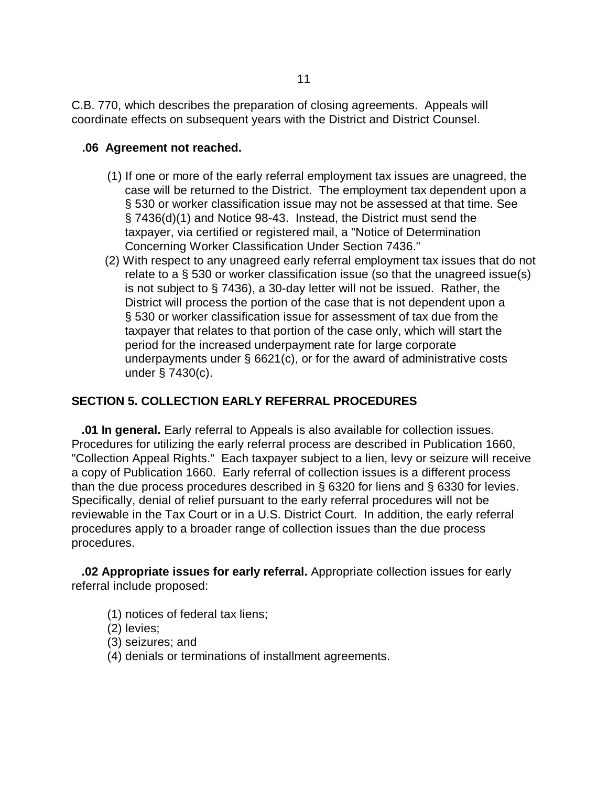C.B. 770, which describes the preparation of closing agreements. Appeals will coordinate effects on subsequent years with the District and District Counsel.

#### **.06 Agreement not reached.**

- (1) If one or more of the early referral employment tax issues are unagreed, the case will be returned to the District. The employment tax dependent upon a § 530 or worker classification issue may not be assessed at that time. See § 7436(d)(1) and Notice 98-43. Instead, the District must send the taxpayer, via certified or registered mail, a "Notice of Determination Concerning Worker Classification Under Section 7436."
- (2) With respect to any unagreed early referral employment tax issues that do not relate to a § 530 or worker classification issue (so that the unagreed issue(s) is not subject to § 7436), a 30-day letter will not be issued. Rather, the District will process the portion of the case that is not dependent upon a § 530 or worker classification issue for assessment of tax due from the taxpayer that relates to that portion of the case only, which will start the period for the increased underpayment rate for large corporate underpayments under § 6621(c), or for the award of administrative costs under § 7430(c).

### **SECTION 5. COLLECTION EARLY REFERRAL PROCEDURES**

 **.01 In general.** Early referral to Appeals is also available for collection issues. Procedures for utilizing the early referral process are described in Publication 1660, "Collection Appeal Rights." Each taxpayer subject to a lien, levy or seizure will receive a copy of Publication 1660. Early referral of collection issues is a different process than the due process procedures described in § 6320 for liens and § 6330 for levies. Specifically, denial of relief pursuant to the early referral procedures will not be reviewable in the Tax Court or in a U.S. District Court. In addition, the early referral procedures apply to a broader range of collection issues than the due process procedures.

 **.02 Appropriate issues for early referral.** Appropriate collection issues for early referral include proposed:

- (1) notices of federal tax liens;
- (2) levies;
- (3) seizures; and
- (4) denials or terminations of installment agreements.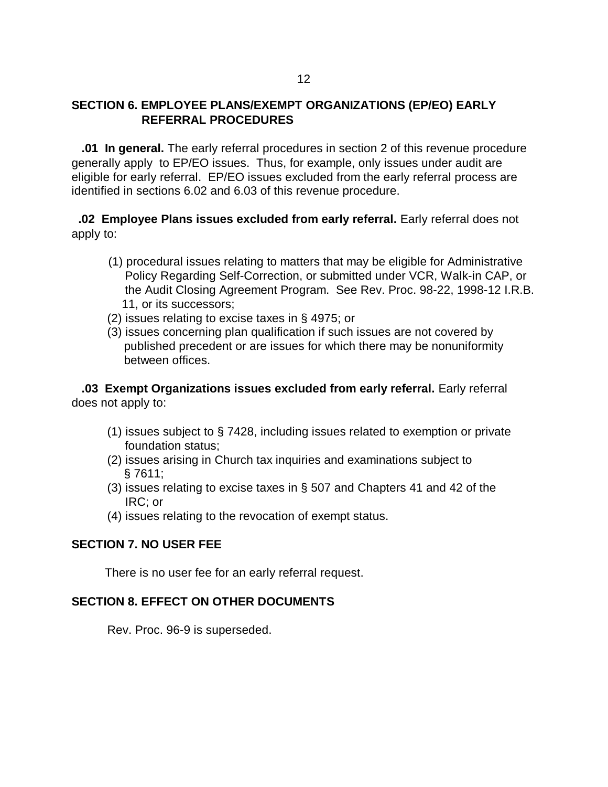### **SECTION 6. EMPLOYEE PLANS/EXEMPT ORGANIZATIONS (EP/EO) EARLY REFERRAL PROCEDURES**

 **.01 In general.** The early referral procedures in section 2 of this revenue procedure generally apply to EP/EO issues. Thus, for example, only issues under audit are eligible for early referral. EP/EO issues excluded from the early referral process are identified in sections 6.02 and 6.03 of this revenue procedure.

 **.02 Employee Plans issues excluded from early referral.** Early referral does not apply to:

- (1) procedural issues relating to matters that may be eligible for Administrative Policy Regarding Self-Correction, or submitted under VCR, Walk-in CAP, or the Audit Closing Agreement Program. See Rev. Proc. 98-22, 1998-12 I.R.B. 11, or its successors;
- (2) issues relating to excise taxes in § 4975; or
- (3) issues concerning plan qualification if such issues are not covered by published precedent or are issues for which there may be nonuniformity between offices.

 **.03 Exempt Organizations issues excluded from early referral.** Early referral does not apply to:

- (1) issues subject to § 7428, including issues related to exemption or private foundation status;
- (2) issues arising in Church tax inquiries and examinations subject to § 7611;
- (3) issues relating to excise taxes in § 507 and Chapters 41 and 42 of the IRC; or
- (4) issues relating to the revocation of exempt status.

#### **SECTION 7. NO USER FEE**

There is no user fee for an early referral request.

#### **SECTION 8. EFFECT ON OTHER DOCUMENTS**

Rev. Proc. 96-9 is superseded.